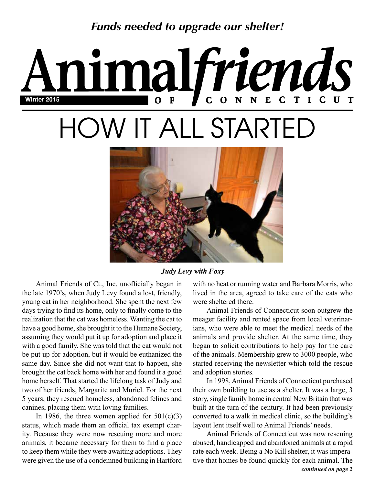*Funds needed to upgrade our shelter!*

# imalfriends  $N E$  $\mathbf C$ **Winter 2015** N HOW IT ALL STARTED



### *Judy Levy with Foxy*

Animal Friends of Ct., Inc. unofficially began in the late 1970's, when Judy Levy found a lost, friendly, young cat in her neighborhood. She spent the next few days trying to find its home, only to finally come to the realization that the cat was homeless. Wanting the cat to have a good home, she brought it to the Humane Society, assuming they would put it up for adoption and place it with a good family. She was told that the cat would not be put up for adoption, but it would be euthanized the same day. Since she did not want that to happen, she brought the cat back home with her and found it a good home herself. That started the lifelong task of Judy and two of her friends, Margarite and Muriel. For the next 5 years, they rescued homeless, abandoned felines and canines, placing them with loving families.

In 1986, the three women applied for  $501(c)(3)$ status, which made them an official tax exempt charity. Because they were now rescuing more and more animals, it became necessary for them to find a place to keep them while they were awaiting adoptions. They were given the use of a condemned building in Hartford with no heat or running water and Barbara Morris, who lived in the area, agreed to take care of the cats who were sheltered there.

Animal Friends of Connecticut soon outgrew the meager facility and rented space from local veterinarians, who were able to meet the medical needs of the animals and provide shelter. At the same time, they began to solicit contributions to help pay for the care of the animals. Membership grew to 3000 people, who started receiving the newsletter which told the rescue and adoption stories.

In 1998, Animal Friends of Connecticut purchased their own building to use as a shelter. It was a large, 3 story, single family home in central New Britain that was built at the turn of the century. It had been previously converted to a walk in medical clinic, so the building's layout lent itself well to Animal Friends' needs.

*continued on page 2* Animal Friends of Connecticut was now rescuing abused, handicapped and abandoned animals at a rapid rate each week. Being a No Kill shelter, it was imperative that homes be found quickly for each animal. The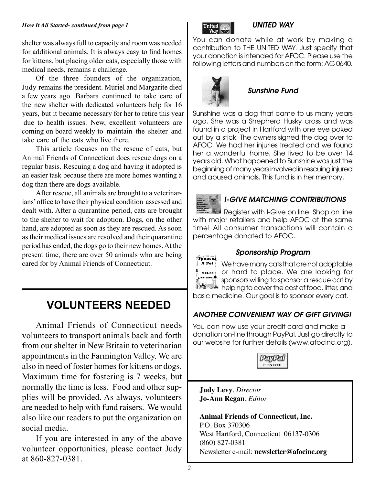#### *How It All Started- continued from page 1*

shelter was always full to capacity and room was needed for additional animals. It is always easy to find homes for kittens, but placing older cats, especially those with medical needs, remains a challenge.

Of the three founders of the organization, Judy remains the president. Muriel and Margarite died a few years ago. Barbara continued to take care of the new shelter with dedicated volunteers help for 16 years, but it became necessary for her to retire this year due to health issues. New, excellent volunteers are coming on board weekly to maintain the shelter and take care of the cats who live there.

This article focuses on the rescue of cats, but Animal Friends of Connecticut does rescue dogs on a regular basis. Rescuing a dog and having it adopted is an easier task because there are more homes wanting a dog than there are dogs available.

After rescue, all animals are brought to a veterinarians' office to have their physical condition assessed and dealt with. After a quarantine period, cats are brought to the shelter to wait for adoption. Dogs, on the other hand, are adopted as soon as they are rescued. As soon as their medical issues are resolved and their quarantine period has ended, the dogs go to their new homes. At the present time, there are over 50 animals who are being cared for by Animal Friends of Connecticut.

# **VOLUNTEERS NEEDED**

Animal Friends of Connecticut needs volunteers to transport animals back and forth from our shelter in New Britain to veterinarian appointments in the Farmington Valley. We are also in need of foster homes for kittens or dogs. Maximum time for fostering is 7 weeks, but normally the time is less. Food and other supplies will be provided. As always, volunteers are needed to help with fund raisers. We would also like our readers to put the organization on social media.

If you are interested in any of the above volunteer opportunities, please contact Judy at 860-827-0381.



### *UNITED WAY*

You can donate while at work by making a contribution to THE UNITED WAY. Just specify that your donation is intended for AFOC. Please use the following letters and numbers on the form: AG 0640.



## *Sunshine Fund*

Sunshine was a dog that came to us many years ago. She was a Shepherd Husky cross and was found in a project in Hartford with one eye poked out by a stick. The owners signed the dog over to AFOC. We had her injuries treated and we found her a wonderful home. She lived to be over 14 years old. What happened to Sunshine was just the beginning of many years involved in rescuing injured and abused animals. This fund is in her memory.



### *I-GIVE MATCHING CONTRIBUTIONS*

Register with I-Give on line. Shop on line with major retailers and help AFOC at the same time! All consumer transactions will contain a percentage donated to AFOC.



### *Sponsorship Program*

We have many cats that are not adoptable or hard to place. We are looking for sponsors willing to sponsor a rescue cat by the set helping to cover the cost of food, litter, and basic medicine. Our goal is to sponsor every cat.

*ANOTHER CONVENIENT WAY OF GIFT GIVING!*

You can now use your credit card and make a donation on-line through PayPal. Just go directly to our website for further details (www.afocinc.org).



**Judy Levy**, *Director* **Jo-Ann Regan**, *Editor*

**Animal Friends of Connecticut, Inc.** P.O. Box 370306 West Hartford, Connecticut 06137-0306 (860) 827-0381 Newsletter e-mail: **newsletter@afocinc.org**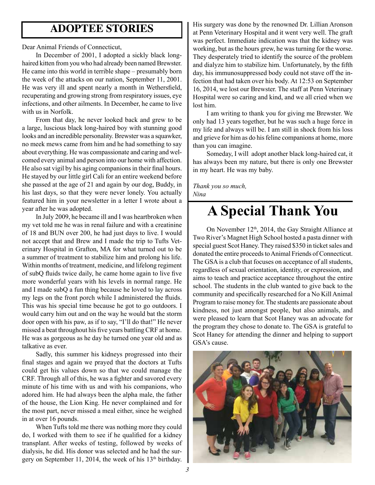## **ADOPTEE STORIES**

Dear Animal Friends of Connecticut,

In December of 2001, I adopted a sickly black longhaired kitten from you who had already been named Brewster. He came into this world in terrible shape – presumably born the week of the attacks on our nation, September 11, 2001. He was very ill and spent nearly a month in Wethersfield, recuperating and growing strong from respiratory issues, eye infections, and other ailments. In December, he came to live with us in Norfolk.

From that day, he never looked back and grew to be a large, luscious black long-haired boy with stunning good looks and an incredible personality. Brewster was a squawker, no meek mews came from him and he had something to say about everything. He was compassionate and caring and welcomed every animal and person into our home with affection. He also sat vigil by his aging companions in their final hours. He stayed by our little girl Cali for an entire weekend before she passed at the age of 21 and again by our dog, Buddy, in his last days, so that they were never lonely. You actually featured him in your newsletter in a letter I wrote about a year after he was adopted.

In July 2009, he became ill and I was heartbroken when my vet told me he was in renal failure and with a creatinine of 18 and BUN over 200, he had just days to live. I would not accept that and Brew and I made the trip to Tufts Veterinary Hospital in Grafton, MA for what turned out to be a summer of treatment to stabilize him and prolong his life. Within months of treatment, medicine, and lifelong regiment of subQ fluids twice daily, he came home again to live five more wonderful years with his levels in normal range. He and I made subQ a fun thing because he loved to lay across my legs on the front porch while I administered the fluids. This was his special time because he got to go outdoors. I would carry him out and on the way he would bat the storm door open with his paw, as if to say, "I'll do that!" He never missed a beat throughout his five years battling CRF at home. He was as gorgeous as he day he turned one year old and as talkative as ever.

Sadly, this summer his kidneys progressed into their final stages and again we prayed that the doctors at Tufts could get his values down so that we could manage the CRF. Through all of this, he was a fighter and savored every minute of his time with us and with his companions, who adored him. He had always been the alpha male, the father of the house, the Lion King. He never complained and for the most part, never missed a meal either, since he weighed in at over 16 pounds.

When Tufts told me there was nothing more they could do, I worked with them to see if he qualified for a kidney transplant. After weeks of testing, followed by weeks of dialysis, he did. His donor was selected and he had the surgery on September 11, 2014, the week of his 13th birthday.

His surgery was done by the renowned Dr. Lillian Aronson at Penn Veterinary Hospital and it went very well. The graft was perfect. Immediate indication was that the kidney was working, but as the hours grew, he was turning for the worse. They desperately tried to identify the source of the problem and dialyze him to stabilize him. Unfortunately, by the fifth day, his immunosuppressed body could not stave off the infection that had taken over his body. At 12:53 on September 16, 2014, we lost our Brewster. The staff at Penn Veterinary Hospital were so caring and kind, and we all cried when we lost him.

I am writing to thank you for giving me Brewster. We only had 13 years together, but he was such a huge force in my life and always will be. I am still in shock from his loss and grieve for him as do his feline companions at home, more than you can imagine.

Someday, I will adopt another black long-haired cat, it has always been my nature, but there is only one Brewster in my heart. He was my baby.

*Thank you so much, Nina*

# **A Special Thank You**

On November 12<sup>th</sup>, 2014, the Gay Straight Alliance at Two River's Magnet High School hosted a pasta dinner with special guest Scot Haney. They raised \$350 in ticket sales and donated the entire proceeds to Animal Friends of Connecticut. The GSA is a club that focuses on acceptance of all students, regardless of sexual orientation, identity, or expression, and aims to teach and practice acceptance throughout the entire school. The students in the club wanted to give back to the community and specifically researched for a No Kill Animal Program to raise money for. The students are passionate about kindness, not just amongst people, but also animals, and were pleased to learn that Scot Haney was an advocate for the program they chose to donate to. The GSA is grateful to Scot Haney for attending the dinner and helping to support GSA's cause.

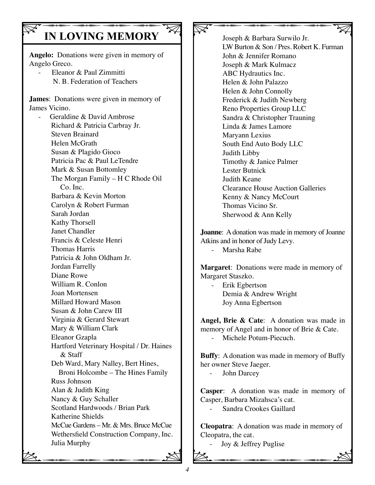# **IN LOVING MEMORY**

**Angelo:** Donations were given in memory of Angelo Greco.

 - Eleanor & Paul Zimmitti N. B. Federation of Teachers

**James**: Donations were given in memory of James Vicino.

Wethersfield Construction Company, Inc.<br>
Julia Murphy<br>
Some of the second company of the second company of the second company of the second company of the second company of the second company of the second contract of the Geraldine & David Ambrose Richard & Patricia Carbray Jr. Steven Brainard Helen McGrath Susan & Plagido Gioco Patricia Pac & Paul LeTendre Mark & Susan Bottomley The Morgan Family – H C Rhode Oil Co. Inc. Barbara & Kevin Morton Carolyn & Robert Furman Sarah Jordan Kathy Thorsell Janet Chandler Francis & Celeste Henri Thomas Harris Patricia & John Oldham Jr. Jordan Farrelly Diane Rowe William R. Conlon Joan Mortensen Millard Howard Mason Susan & John Carew III Virginia & Gerard Stewart Mary & William Clark Eleanor Gzapla Hartford Veterinary Hospital / Dr. Haines & Staff Deb Ward, Mary Nalley, Bert Hines, Broni Holcombe – The Hines Family Russ Johnson Alan & Judith King Nancy & Guy Schaller Scotland Hardwoods / Brian Park Katherine Shields McCue Gardens – Mr. & Mrs. Bruce McCue Julia Murphy

 $\nabla$ Joseph & Barbara Surwilo Jr. LW Burton & Son / Pres. Robert K. Furman John & Jennifer Romano Joseph & Mark Kulmacz ABC Hydrautics Inc. Helen & John Palazzo Helen & John Connolly Frederick & Judith Newberg Reno Properties Group LLC Sandra & Christopher Trauning Linda & James Lamore Maryann Lexius South End Auto Body LLC Judith Libby Timothy & Janice Palmer Lester Butnick Judith Keane Clearance House Auction Galleries Kenny & Nancy McCourt Thomas Vicino Sr. Sherwood & Ann Kelly

**Joanne**: A donation was made in memory of Joanne Atkins and in honor of Judy Levy. - Marsha Rabe

**Margaret**: Donations were made in memory of Margaret Staszko.

 - Erik Egbertson Demia & Andrew Wright Joy Anna Egbertson

**Angel, Brie & Cate**: A donation was made in memory of Angel and in honor of Brie & Cate. Michele Potum-Piecuch.

**Buffy**: A donation was made in memory of Buffy her owner Steve Jaeger.

- John Darcey

**Casper**: A donation was made in memory of Casper, Barbara Mizahsca's cat.

- Sandra Crookes Gaillard

Cleopatra, the cat.<br>
- Joy & Jeffrey Puglise<br>
- Some property produced by the property of the property of the property of the property of the property of the property of the property of the property of the property of the **Cleopatra**: A donation was made in memory of Cleopatra, the cat.

Joy & Jeffrey Puglise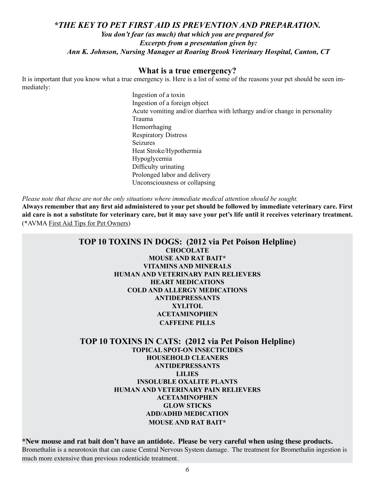### *\*THE KEY TO PET FIRST AID IS PREVENTION AND PREPARATION. You don't fear (as much) that which you are prepared for Excerpts from a presentation given by: Ann K. Johnson, Nursing Manager at Roaring Brook Veterinary Hospital, Canton, CT*

### **What is a true emergency?**

It is important that you know what a true emergency is. Here is a list of some of the reasons your pet should be seen immediately:

> Ingestion of a toxin Ingestion of a foreign object Acute vomiting and/or diarrhea with lethargy and/or change in personality Trauma Hemorrhaging Respiratory Distress Seizures Heat Stroke/Hypothermia Hypoglycemia Difficulty urinating Prolonged labor and delivery Unconsciousness or collapsing

*Please note that these are not the only situations where immediate medical attention should be sought.*

**Always remember that any first aid administered to your pet should be followed by immediate veterinary care. First aid care is not a substitute for veterinary care, but it may save your pet's life until it receives veterinary treatment.** (\*AVMA First Aid Tips for Pet Owners)

### **TOP 10 TOXINS IN DOGS: (2012 via Pet Poison Helpline) CHOCOLATE MOUSE AND RAT BAIT\* VITAMINS AND MINERALS HUMAN AND VETERINARY PAIN RELIEVERS HEART MEDICATIONS COLD AND ALLERGY MEDICATIONS ANTIDEPRESSANTS XYLITOL ACETAMINOPHEN CAFFEINE PILLS**

**TOP 10 TOXINS IN CATS: (2012 via Pet Poison Helpline) TOPICAL SPOT-ON INSECTICIDES HOUSEHOLD CLEANERS ANTIDEPRESSANTS LILIES INSOLUBLE OXALITE PLANTS HUMAN AND VETERINARY PAIN RELIEVERS ACETAMINOPHEN GLOW STICKS ADD/ADHD MEDICATION MOUSE AND RAT BAIT\***

**\*New mouse and rat bait don't have an antidote. Please be very careful when using these products.** Bromethalin is a neurotoxin that can cause Central Nervous System damage. The treatment for Bromethalin ingestion is much more extensive than previous rodenticide treatment.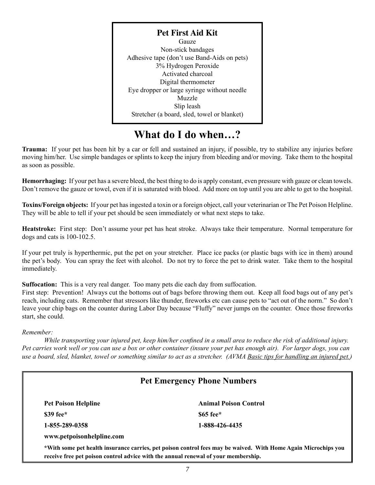**Pet First Aid Kit** Gauze Non-stick bandages Adhesive tape (don't use Band-Aids on pets) 3% Hydrogen Peroxide Activated charcoal Digital thermometer Eye dropper or large syringe without needle Muzzle Slip leash Stretcher (a board, sled, towel or blanket)

## **What do I do when…?**

**Trauma:** If your pet has been hit by a car or fell and sustained an injury, if possible, try to stabilize any injuries before moving him/her. Use simple bandages or splints to keep the injury from bleeding and/or moving. Take them to the hospital as soon as possible.

**Hemorrhaging:** If your pet has a severe bleed, the best thing to do is apply constant, even pressure with gauze or clean towels. Don't remove the gauze or towel, even if it is saturated with blood. Add more on top until you are able to get to the hospital.

**Toxins/Foreign objects:** If your pet has ingested a toxin or a foreign object, call your veterinarian or The Pet Poison Helpline. They will be able to tell if your pet should be seen immediately or what next steps to take.

**Heatstroke:** First step: Don't assume your pet has heat stroke. Always take their temperature. Normal temperature for dogs and cats is 100-102.5.

If your pet truly is hyperthermic, put the pet on your stretcher. Place ice packs (or plastic bags with ice in them) around the pet's body. You can spray the feet with alcohol. Do not try to force the pet to drink water. Take them to the hospital immediately.

**Suffocation:** This is a very real danger. Too many pets die each day from suffocation.

First step: Prevention! Always cut the bottoms out of bags before throwing them out. Keep all food bags out of any pet's reach, including cats. Remember that stressors like thunder, fireworks etc can cause pets to "act out of the norm." So don't leave your chip bags on the counter during Labor Day because "Fluffy" never jumps on the counter. Once those fireworks start, she could.

#### *Remember:*

*While transporting your injured pet, keep him/her confined in a small area to reduce the risk of additional injury. Pet carries work well or you can use a box or other container (insure your pet has enough air). For larger dogs, you can use a board, sled, blanket, towel or something similar to act as a stretcher. (AVMA Basic tips for handling an injured pet.)*

### **Pet Emergency Phone Numbers**

| <b>Pet Poison Helpline</b> | <b>Animal Poison Control</b> |  |  |  |  |
|----------------------------|------------------------------|--|--|--|--|
| $\$39$ fee $*$             | $\$65$ fee $*$               |  |  |  |  |
| 1-855-289-0358             | 1-888-426-4435               |  |  |  |  |
| www.petpoisonhelpline.com  |                              |  |  |  |  |

**\*With some pet health insurance carries, pet poison control fees may be waived. With Home Again Microchips you receive free pet poison control advice with the annual renewal of your membership.**